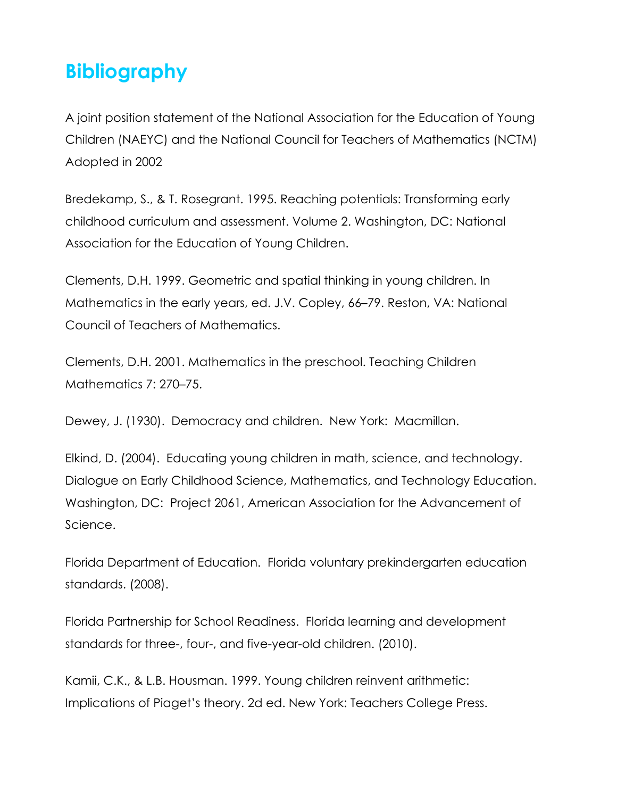## **Bibliography**

A joint position statement of the National Association for the Education of Young Children (NAEYC) and the National Council for Teachers of Mathematics (NCTM) Adopted in 2002

Bredekamp, S., & T. Rosegrant. 1995. Reaching potentials: Transforming early childhood curriculum and assessment. Volume 2. Washington, DC: National Association for the Education of Young Children.

Clements, D.H. 1999. Geometric and spatial thinking in young children. In Mathematics in the early years, ed. J.V. Copley, 66–79. Reston, VA: National Council of Teachers of Mathematics.

Clements, D.H. 2001. Mathematics in the preschool. Teaching Children Mathematics 7: 270–75.

Dewey, J. (1930). Democracy and children. New York: Macmillan.

Elkind, D. (2004). Educating young children in math, science, and technology. Dialogue on Early Childhood Science, Mathematics, and Technology Education. Washington, DC: Project 2061, American Association for the Advancement of Science.

Florida Department of Education. Florida voluntary prekindergarten education standards. (2008).

Florida Partnership for School Readiness. Florida learning and development standards for three-, four-, and five-year-old children. (2010).

Kamii, C.K., & L.B. Housman. 1999. Young children reinvent arithmetic: Implications of Piaget's theory. 2d ed. New York: Teachers College Press.